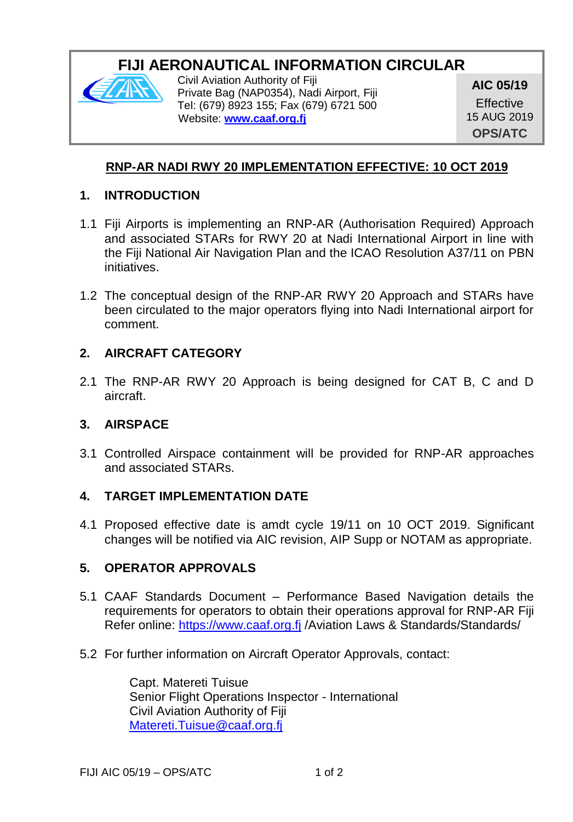# **FIJI AERONAUTICAL INFORMATION CIRCULAR**



Civil Aviation Authority of Fiji Private Bag (NAP0354), Nadi Airport, Fiji Tel: (679) 8923 155; Fax (679) 6721 500 Website: **[www.caaf.org.fj](http://www.caaf.org.fj/)**

**AIC 05/19**

**Effective** 15 AUG 2019 **OPS/ATC**

# **RNP-AR NADI RWY 20 IMPLEMENTATION EFFECTIVE: 10 OCT 2019**

#### **1. INTRODUCTION**

- 1.1 Fiji Airports is implementing an RNP-AR (Authorisation Required) Approach and associated STARs for RWY 20 at Nadi International Airport in line with the Fiji National Air Navigation Plan and the ICAO Resolution A37/11 on PBN initiatives.
- 1.2 The conceptual design of the RNP-AR RWY 20 Approach and STARs have been circulated to the major operators flying into Nadi International airport for comment.

### **2. AIRCRAFT CATEGORY**

2.1 The RNP-AR RWY 20 Approach is being designed for CAT B, C and D aircraft.

### **3. AIRSPACE**

3.1 Controlled Airspace containment will be provided for RNP-AR approaches and associated STARs.

# **4. TARGET IMPLEMENTATION DATE**

4.1 Proposed effective date is amdt cycle 19/11 on 10 OCT 2019. Significant changes will be notified via AIC revision, AIP Supp or NOTAM as appropriate.

### **5. OPERATOR APPROVALS**

- 5.1 CAAF Standards Document Performance Based Navigation details the requirements for operators to obtain their operations approval for RNP-AR Fiji Refer online: [https://www.caaf.org.fj](https://www.caaf.org.fj/) /Aviation Laws & Standards/Standards/
- 5.2 For further information on Aircraft Operator Approvals, contact:

Capt. Matereti Tuisue Senior Flight Operations Inspector - International Civil Aviation Authority of Fiji [Matereti.Tuisue@caaf.org.fj](mailto:Matereti.Tuisue@caaf.org.fj)